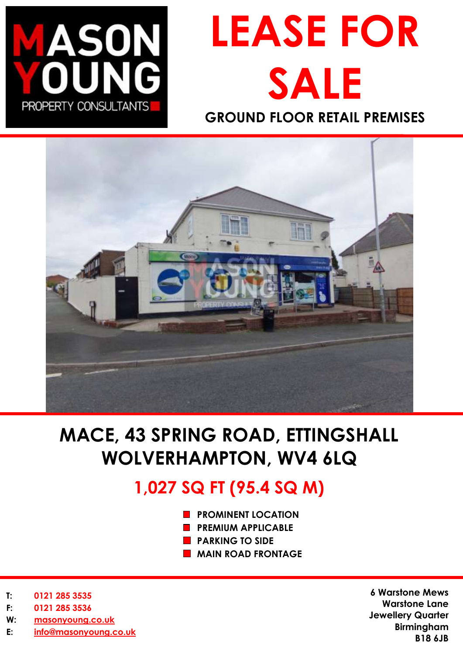

# **LEASE FOR SALE GROUND FLOOR RETAIL PREMISES**



## **MACE, 43 SPRING ROAD, ETTINGSHALL WOLVERHAMPTON, WV4 6LQ**

### **1,027 SQ FT (95.4 SQ M)**

- **PROMINENT LOCATION**
- **PREMIUM APPLICABLE**
- **PARKING TO SIDE**
- **MAIN ROAD FRONTAGE**

- **T: 0121 285 3535**
- **F: 0121 285 3536**
- **W: [masonyoung.co.uk](http://www.masonyoung.co.uk/)**
- **E: [info@masonyoung.co.uk](mailto:info@masonyoung.co.uk)**

**6 Warstone Mews Warstone Lane Jewellery Quarter Birmingham B18 6JB**